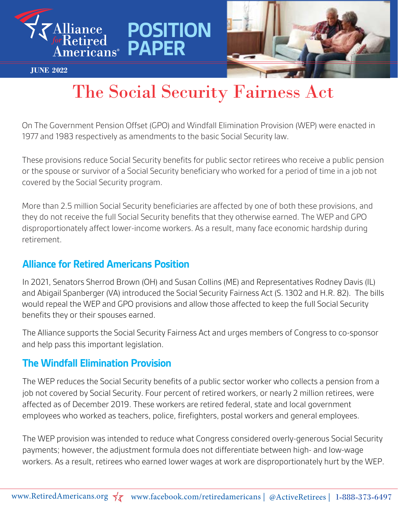

**JUNE 2022**



# The Social Security Fairness Act

**POSITION** 

**PAPER**

On The Government Pension Offset (GPO) and Windfall Elimination Provision (WEP) were enacted in 1977 and 1983 respectively as amendments to the basic Social Security law.

These provisions reduce Social Security benefits for public sector retirees who receive a public pension or the spouse or survivor of a Social Security beneficiary who worked for a period of time in a job not covered by the Social Security program.

More than 2.5 million Social Security beneficiaries are affected by one of both these provisions, and they do not receive the full Social Security benefits that they otherwise earned. The WEP and GPO disproportionately affect lower-income workers. As a result, many face economic hardship during retirement.

### **Alliance for Retired Americans Position**

In 2021, Senators Sherrod Brown (OH) and Susan Collins (ME) and Representatives Rodney Davis (IL) and Abigail Spanberger (VA) introduced the Social Security Fairness Act (S. 1302 and H.R. 82). The bills would repeal the WEP and GPO provisions and allow those affected to keep the full Social Security benefits they or their spouses earned.

The Alliance supports the Social Security Fairness Act and urges members of Congress to co-sponsor and help pass this important legislation.

#### **The Windfall Elimination Provision**

The WEP reduces the Social Security benefits of a public sector worker who collects a pension from a job not covered by Social Security. Four percent of retired workers, or nearly 2 million retirees, were affected as of December 2019. These workers are retired federal, state and local government employees who worked as teachers, police, firefighters, postal workers and general employees.

The WEP provision was intended to reduce what Congress considered overly-generous Social Security payments; however, the adjustment formula does not differentiate between high- and low-wage workers. As a result, retirees who earned lower wages at work are disproportionately hurt by the WEP.